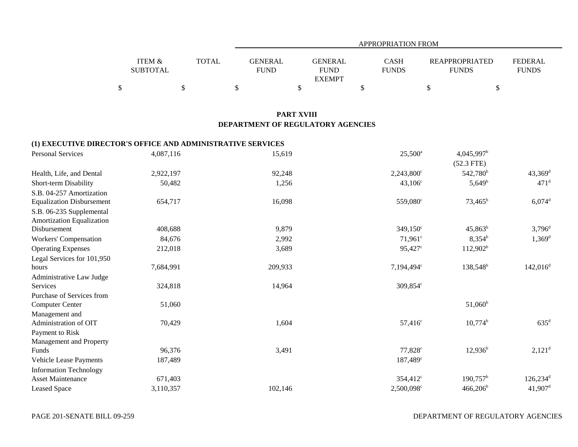|                   |              |             | APPROPRIATION FROM |              |                       |                |  |  |  |  |
|-------------------|--------------|-------------|--------------------|--------------|-----------------------|----------------|--|--|--|--|
|                   |              |             |                    |              |                       |                |  |  |  |  |
| <b>ITEM &amp;</b> | <b>TOTAL</b> | GENERAL     | GENERAL            | CASH         | <b>REAPPROPRIATED</b> | <b>FEDERAL</b> |  |  |  |  |
| <b>SUBTOTAL</b>   |              | <b>FUND</b> | <b>FUND</b>        | <b>FUNDS</b> | <b>FUNDS</b>          | <b>FUNDS</b>   |  |  |  |  |
|                   |              |             | <b>EXEMPT</b>      |              |                       |                |  |  |  |  |
|                   |              |             |                    |              |                       |                |  |  |  |  |

## **PART XVIII DEPARTMENT OF REGULATORY AGENCIES**

## **(1) EXECUTIVE DIRECTOR'S OFFICE AND ADMINISTRATIVE SERVICES**

| <b>Personal Services</b>         | 4,087,116 | 15,619  | $25,500^{\circ}$       | $4,045,997^{\rm b}$   |                        |
|----------------------------------|-----------|---------|------------------------|-----------------------|------------------------|
|                                  |           |         |                        | $(52.3$ FTE)          |                        |
| Health, Life, and Dental         | 2,922,197 | 92,248  | $2,243,800^{\circ}$    | 542,780 <sup>b</sup>  | $43,369$ <sup>d</sup>  |
| Short-term Disability            | 50,482    | 1,256   | $43,106^{\circ}$       | $5,649^b$             | $471$ <sup>d</sup>     |
| S.B. 04-257 Amortization         |           |         |                        |                       |                        |
| <b>Equalization Disbursement</b> | 654,717   | 16,098  | 559,080°               | $73,465^{\rm b}$      | $6,074$ <sup>d</sup>   |
| S.B. 06-235 Supplemental         |           |         |                        |                       |                        |
| Amortization Equalization        |           |         |                        |                       |                        |
| Disbursement                     | 408,688   | 9,879   | $349,150^{\circ}$      | $45,863^b$            | $3,796^{\rm d}$        |
| Workers' Compensation            | 84,676    | 2,992   | $71,961^{\circ}$       | $8,354^b$             | $1,369^{\rm d}$        |
| <b>Operating Expenses</b>        | 212,018   | 3,689   | 95,427 <sup>c</sup>    | $112,902^b$           |                        |
| Legal Services for 101,950       |           |         |                        |                       |                        |
| hours                            | 7,684,991 | 209,933 | 7,194,494 <sup>c</sup> | 138,548 <sup>b</sup>  | $142,016^d$            |
| Administrative Law Judge         |           |         |                        |                       |                        |
| Services                         | 324,818   | 14,964  | $309,854^{\circ}$      |                       |                        |
| Purchase of Services from        |           |         |                        |                       |                        |
| <b>Computer Center</b>           | 51,060    |         |                        | $51,060^{\rm b}$      |                        |
| Management and                   |           |         |                        |                       |                        |
| Administration of OIT            | 70,429    | 1,604   | $57,416^c$             | $10,774$ <sup>b</sup> | $635^{\rm d}$          |
| Payment to Risk                  |           |         |                        |                       |                        |
| Management and Property          |           |         |                        |                       |                        |
| Funds                            | 96,376    | 3,491   | $77,828^{\circ}$       | $12,936^b$            | $2,121^d$              |
| Vehicle Lease Payments           | 187,489   |         | 187,489 <sup>c</sup>   |                       |                        |
| <b>Information Technology</b>    |           |         |                        |                       |                        |
| <b>Asset Maintenance</b>         | 671,403   |         | $354,412^{\circ}$      | $190,757^{\rm b}$     | $126,234$ <sup>d</sup> |
| <b>Leased Space</b>              | 3,110,357 | 102,146 | 2,500,098 <sup>c</sup> | $466,206^b$           | $41,907$ <sup>d</sup>  |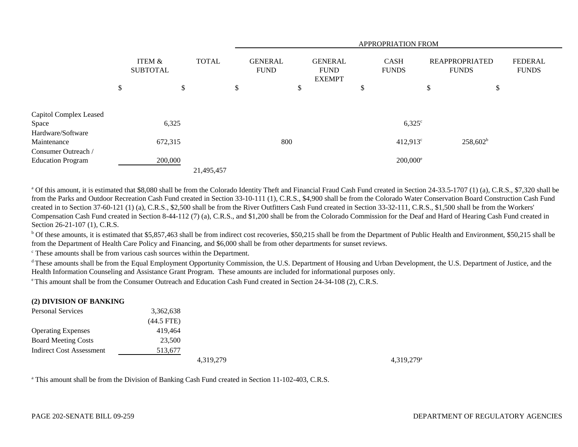|                                 |                           |              | APPROPRIATION FROM            |        |                                                |        |                             |    |                                       |                                |
|---------------------------------|---------------------------|--------------|-------------------------------|--------|------------------------------------------------|--------|-----------------------------|----|---------------------------------------|--------------------------------|
|                                 | ITEM &<br><b>SUBTOTAL</b> | <b>TOTAL</b> | <b>GENERAL</b><br><b>FUND</b> |        | <b>GENERAL</b><br><b>FUND</b><br><b>EXEMPT</b> |        | <b>CASH</b><br><b>FUNDS</b> |    | <b>REAPPROPRIATED</b><br><b>FUNDS</b> | <b>FEDERAL</b><br><b>FUNDS</b> |
|                                 | \$                        | \$           | \$                            | Φ<br>Φ |                                                | Φ<br>D |                             | \$ | $\mathcal{L}$                         |                                |
| Capitol Complex Leased<br>Space | 6,325                     |              |                               |        |                                                |        | $6,325^{\circ}$             |    |                                       |                                |
| Hardware/Software               |                           |              |                               |        |                                                |        |                             |    |                                       |                                |
| Maintenance                     | 672,315                   |              | 800                           |        |                                                |        | $412,913^{\circ}$           |    | $258,602^b$                           |                                |
| Consumer Outreach /             |                           |              |                               |        |                                                |        |                             |    |                                       |                                |
| <b>Education Program</b>        | 200,000                   |              |                               |        |                                                |        | $200,000$ <sup>e</sup>      |    |                                       |                                |
|                                 |                           | 21,495,457   |                               |        |                                                |        |                             |    |                                       |                                |

<sup>a</sup> Of this amount, it is estimated that \$8,080 shall be from the Colorado Identity Theft and Financial Fraud Cash Fund created in Section 24-33.5-1707 (1) (a), C.R.S., \$7,320 shall be from the Parks and Outdoor Recreation Cash Fund created in Section 33-10-111 (1), C.R.S., \$4,900 shall be from the Colorado Water Conservation Board Construction Cash Fund created in to Section 37-60-121 (1) (a), C.R.S., \$2,500 shall be from the River Outfitters Cash Fund created in Section 33-32-111, C.R.S., \$1,500 shall be from the Workers' Compensation Cash Fund created in Section 8-44-112 (7) (a), C.R.S., and \$1,200 shall be from the Colorado Commission for the Deaf and Hard of Hearing Cash Fund created in Section 26-21-107 (1), C.R.S.

<sup>b</sup> Of these amounts, it is estimated that \$5,857,463 shall be from indirect cost recoveries, \$50,215 shall be from the Department of Public Health and Environment, \$50,215 shall be from the Department of Health Care Policy and Financing, and \$6,000 shall be from other departments for sunset reviews.

c These amounts shall be from various cash sources within the Department.

<sup>d</sup> These amounts shall be from the Equal Employment Opportunity Commission, the U.S. Department of Housing and Urban Development, the U.S. Department of Justice, and the Health Information Counseling and Assistance Grant Program. These amounts are included for informational purposes only.

e This amount shall be from the Consumer Outreach and Education Cash Fund created in Section 24-34-108 (2), C.R.S.

#### **(2) DIVISION OF BANKING**

| <b>Personal Services</b>   | 3,362,638    |
|----------------------------|--------------|
|                            | $(44.5$ FTE) |
| <b>Operating Expenses</b>  | 419.464      |
| <b>Board Meeting Costs</b> | 23,500       |
| Indirect Cost Assessment   | 513,677      |
|                            |              |

4,319,279<sup>a</sup> 4,319,279<sup>a</sup>

<sup>a</sup> This amount shall be from the Division of Banking Cash Fund created in Section 11-102-403, C.R.S.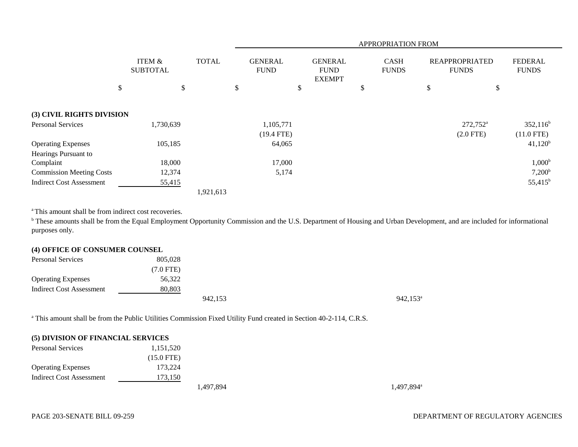|                                 |                           | <b>APPROPRIATION FROM</b> |                               |                                                |                             |                                       |                                |
|---------------------------------|---------------------------|---------------------------|-------------------------------|------------------------------------------------|-----------------------------|---------------------------------------|--------------------------------|
|                                 | ITEM &<br><b>SUBTOTAL</b> | <b>TOTAL</b>              | <b>GENERAL</b><br><b>FUND</b> | <b>GENERAL</b><br><b>FUND</b><br><b>EXEMPT</b> | <b>CASH</b><br><b>FUNDS</b> | <b>REAPPROPRIATED</b><br><b>FUNDS</b> | <b>FEDERAL</b><br><b>FUNDS</b> |
|                                 | \$<br>\$                  |                           | \$                            | \$                                             | \$                          | \$<br>\$                              |                                |
| (3) CIVIL RIGHTS DIVISION       |                           |                           |                               |                                                |                             |                                       |                                |
| <b>Personal Services</b>        | 1,730,639                 |                           | 1,105,771                     |                                                |                             | $272,752^{\mathrm{a}}$                | $352,116^b$                    |
|                                 |                           |                           | $(19.4$ FTE)                  |                                                |                             | $(2.0$ FTE)                           | $(11.0$ FTE)                   |
| <b>Operating Expenses</b>       | 105,185                   |                           | 64,065                        |                                                |                             |                                       | $41,120^b$                     |
| Hearings Pursuant to            |                           |                           |                               |                                                |                             |                                       |                                |
| Complaint                       | 18,000                    |                           | 17,000                        |                                                |                             |                                       | $1,000^{\rm b}$                |
| <b>Commission Meeting Costs</b> | 12,374                    |                           | 5,174                         |                                                |                             |                                       | $7,200^{\rm b}$                |
| <b>Indirect Cost Assessment</b> | 55,415                    |                           |                               |                                                |                             |                                       | $55,415^{\rm b}$               |
|                                 |                           | 1,921,613                 |                               |                                                |                             |                                       |                                |

<sup>a</sup> This amount shall be from indirect cost recoveries.

<sup>b</sup> These amounts shall be from the Equal Employment Opportunity Commission and the U.S. Department of Housing and Urban Development, and are included for informational purposes only.

# **(4) OFFICE OF CONSUMER COUNSEL**

| <b>Personal Services</b>  | 805,028   |         |                   |
|---------------------------|-----------|---------|-------------------|
|                           | (7.0 FTE) |         |                   |
| <b>Operating Expenses</b> | 56,322    |         |                   |
| Indirect Cost Assessment  | 80,803    |         |                   |
|                           |           | 942,153 | $942,153^{\circ}$ |

<sup>a</sup> This amount shall be from the Public Utilities Commission Fixed Utility Fund created in Section 40-2-114, C.R.S.

#### **(5) DIVISION OF FINANCIAL SERVICES**

| <b>Personal Services</b>  | 1,151,520    |
|---------------------------|--------------|
|                           | $(15.0$ FTE) |
| <b>Operating Expenses</b> | 173,224      |
| Indirect Cost Assessment  | 173,150      |
|                           |              |

1,497,894<sup>a</sup> 1,497,894<sup>a</sup>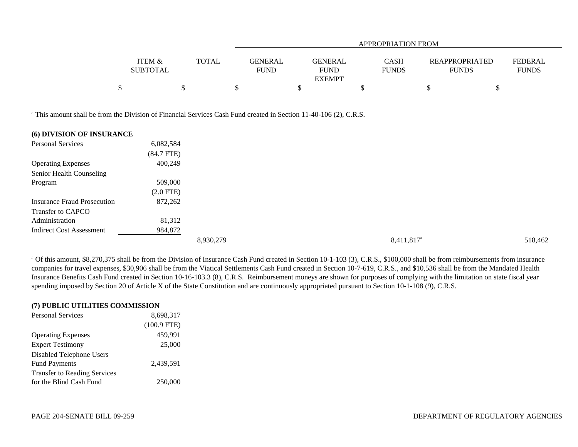|                   |              |             | APPROPRIATION FROM |                             |                       |                |  |  |  |  |
|-------------------|--------------|-------------|--------------------|-----------------------------|-----------------------|----------------|--|--|--|--|
|                   |              |             |                    |                             |                       |                |  |  |  |  |
| <b>ITEM &amp;</b> | <b>TOTAL</b> |             | GENERAL            | <b>CASH</b><br>GENERAL      | <b>REAPPROPRIATED</b> | <b>FEDERAL</b> |  |  |  |  |
| <b>SUBTOTAL</b>   |              | <b>FUND</b> |                    | <b>FUNDS</b><br><b>FUND</b> | <b>FUNDS</b>          | <b>FUNDS</b>   |  |  |  |  |
|                   |              |             |                    | <b>EXEMPT</b>               |                       |                |  |  |  |  |
|                   |              |             |                    |                             |                       |                |  |  |  |  |

<sup>a</sup> This amount shall be from the Division of Financial Services Cash Fund created in Section 11-40-106 (2), C.R.S.

| (6) DIVISION OF INSURANCE          |                 |           |                     |         |
|------------------------------------|-----------------|-----------|---------------------|---------|
| <b>Personal Services</b>           | 6,082,584       |           |                     |         |
|                                    | $(84.7$ FTE $)$ |           |                     |         |
| <b>Operating Expenses</b>          | 400,249         |           |                     |         |
| Senior Health Counseling           |                 |           |                     |         |
| Program                            | 509,000         |           |                     |         |
|                                    | $(2.0$ FTE)     |           |                     |         |
| <b>Insurance Fraud Prosecution</b> | 872,262         |           |                     |         |
| Transfer to CAPCO                  |                 |           |                     |         |
| Administration                     | 81,312          |           |                     |         |
| <b>Indirect Cost Assessment</b>    | 984,872         |           |                     |         |
|                                    |                 | 8,930,279 | $8,411,817^{\circ}$ | 518,462 |

<sup>a</sup> Of this amount, \$8,270,375 shall be from the Division of Insurance Cash Fund created in Section 10-1-103 (3), C.R.S., \$100,000 shall be from reimbursements from insurance companies for travel expenses, \$30,906 shall be from the Viatical Settlements Cash Fund created in Section 10-7-619, C.R.S., and \$10,536 shall be from the Mandated Health Insurance Benefits Cash Fund created in Section 10-16-103.3 (8), C.R.S. Reimbursement moneys are shown for purposes of complying with the limitation on state fiscal year spending imposed by Section 20 of Article X of the State Constitution and are continuously appropriated pursuant to Section 10-1-108 (9), C.R.S.

| (7) PUBLIC UTILITIES COMMISSION     |               |  |  |  |  |  |  |  |
|-------------------------------------|---------------|--|--|--|--|--|--|--|
| <b>Personal Services</b>            | 8,698,317     |  |  |  |  |  |  |  |
|                                     | $(100.9$ FTE) |  |  |  |  |  |  |  |
| <b>Operating Expenses</b>           | 459,991       |  |  |  |  |  |  |  |
| <b>Expert Testimony</b>             | 25,000        |  |  |  |  |  |  |  |
| Disabled Telephone Users            |               |  |  |  |  |  |  |  |
| <b>Fund Payments</b>                | 2,439,591     |  |  |  |  |  |  |  |
| <b>Transfer to Reading Services</b> |               |  |  |  |  |  |  |  |
| for the Blind Cash Fund             | 250,000       |  |  |  |  |  |  |  |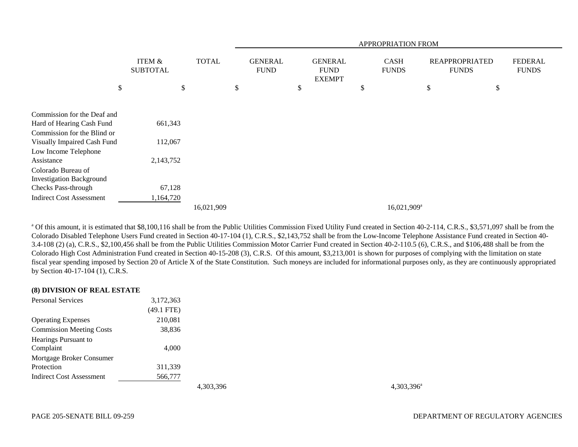|                                                          | <b>APPROPRIATION FROM</b>            |              |                               |                                                |                             |                         |                                       |                                |
|----------------------------------------------------------|--------------------------------------|--------------|-------------------------------|------------------------------------------------|-----------------------------|-------------------------|---------------------------------------|--------------------------------|
|                                                          | <b>ITEM &amp;</b><br><b>SUBTOTAL</b> | <b>TOTAL</b> | <b>GENERAL</b><br><b>FUND</b> | <b>GENERAL</b><br><b>FUND</b><br><b>EXEMPT</b> | <b>CASH</b><br><b>FUNDS</b> |                         | <b>REAPPROPRIATED</b><br><b>FUNDS</b> | <b>FEDERAL</b><br><b>FUNDS</b> |
| \$                                                       | \$                                   |              | \$                            | \$                                             | \$                          | \$                      | \$                                    |                                |
| Commission for the Deaf and                              |                                      |              |                               |                                                |                             |                         |                                       |                                |
| Hard of Hearing Cash Fund<br>Commission for the Blind or | 661,343                              |              |                               |                                                |                             |                         |                                       |                                |
| Visually Impaired Cash Fund<br>Low Income Telephone      | 112,067                              |              |                               |                                                |                             |                         |                                       |                                |
| Assistance                                               | 2,143,752                            |              |                               |                                                |                             |                         |                                       |                                |
| Colorado Bureau of<br><b>Investigation Background</b>    |                                      |              |                               |                                                |                             |                         |                                       |                                |
| Checks Pass-through                                      | 67,128                               |              |                               |                                                |                             |                         |                                       |                                |
| <b>Indirect Cost Assessment</b>                          | 1,164,720                            |              |                               |                                                |                             |                         |                                       |                                |
|                                                          |                                      | 16,021,909   |                               |                                                |                             | 16,021,909 <sup>a</sup> |                                       |                                |

<sup>a</sup> Of this amount, it is estimated that \$8,100,116 shall be from the Public Utilities Commission Fixed Utility Fund created in Section 40-2-114, C.R.S., \$3,571,097 shall be from the Colorado Disabled Telephone Users Fund created in Section 40-17-104 (1), C.R.S., \$2,143,752 shall be from the Low-Income Telephone Assistance Fund created in Section 40- 3.4-108 (2) (a), C.R.S., \$2,100,456 shall be from the Public Utilities Commission Motor Carrier Fund created in Section 40-2-110.5 (6), C.R.S., and \$106,488 shall be from the Colorado High Cost Administration Fund created in Section 40-15-208 (3), C.R.S. Of this amount, \$3,213,001 is shown for purposes of complying with the limitation on state fiscal year spending imposed by Section 20 of Article X of the State Constitution. Such moneys are included for informational purposes only, as they are continuously appropriated by Section 40-17-104 (1), C.R.S.

| (8) DIVISION OF REAL ESTATE     |              |  |
|---------------------------------|--------------|--|
| <b>Personal Services</b>        | 3,172,363    |  |
|                                 | $(49.1$ FTE) |  |
| <b>Operating Expenses</b>       | 210,081      |  |
| <b>Commission Meeting Costs</b> | 38,836       |  |
| Hearings Pursuant to            |              |  |
| Complaint                       | 4,000        |  |
| Mortgage Broker Consumer        |              |  |
| Protection                      | 311,339      |  |
| Indirect Cost Assessment        | 566,777      |  |
|                                 |              |  |

4,303,396<sup>a</sup> 4,303,396<sup>a</sup>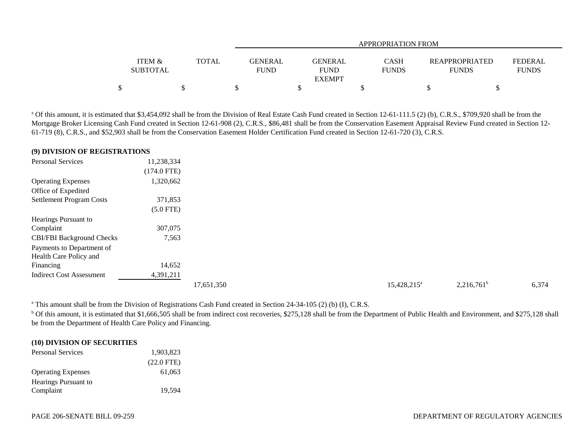|                 |       |                | APPROPRIATION FROM |              |                       |                |  |
|-----------------|-------|----------------|--------------------|--------------|-----------------------|----------------|--|
|                 |       |                |                    |              |                       |                |  |
| ITEM &          | TOTAL | <b>GENERAL</b> | <b>GENERAL</b>     | <b>CASH</b>  | <b>REAPPROPRIATED</b> | <b>FEDERAL</b> |  |
| <b>SUBTOTAL</b> |       | <b>FUND</b>    | <b>FUND</b>        | <b>FUNDS</b> | <b>FUNDS</b>          | <b>FUNDS</b>   |  |
|                 |       |                | <b>EXEMPT</b>      |              |                       |                |  |
|                 |       |                |                    |              |                       |                |  |

<sup>a</sup> Of this amount, it is estimated that \$3,454,092 shall be from the Division of Real Estate Cash Fund created in Section 12-61-111.5 (2) (b), C.R.S., \$709,920 shall be from the Mortgage Broker Licensing Cash Fund created in Section 12-61-908 (2), C.R.S., \$86,481 shall be from the Conservation Easement Appraisal Review Fund created in Section 12- 61-719 (8), C.R.S., and \$52,903 shall be from the Conservation Easement Holder Certification Fund created in Section 12-61-720 (3), C.R.S.

# **(9) DIVISION OF REGISTRATIONS**

| <b>Personal Services</b>         | 11,238,334    |  |
|----------------------------------|---------------|--|
|                                  | $(174.0$ FTE) |  |
| <b>Operating Expenses</b>        | 1,320,662     |  |
| Office of Expedited              |               |  |
| <b>Settlement Program Costs</b>  | 371,853       |  |
|                                  | $(5.0$ FTE)   |  |
| Hearings Pursuant to             |               |  |
| Complaint                        | 307,075       |  |
| <b>CBI/FBI Background Checks</b> | 7,563         |  |
| Payments to Department of        |               |  |
| Health Care Policy and           |               |  |
| Financing                        | 14,652        |  |
| <b>Indirect Cost Assessment</b>  | 4,391,211     |  |
|                                  |               |  |

 $17,651,350$   $15,428,215^a$   $2,216,761^b$   $6,374$ 

<sup>a</sup> This amount shall be from the Division of Registrations Cash Fund created in Section 24-34-105 (2) (b) (I), C.R.S.

<sup>b</sup> Of this amount, it is estimated that \$1,666,505 shall be from indirect cost recoveries, \$275,128 shall be from the Department of Public Health and Environment, and \$275,128 shall be from the Department of Health Care Policy and Financing.

### **(10) DIVISION OF SECURITIES**

| <b>Personal Services</b>  | 1,903,823            |  |
|---------------------------|----------------------|--|
|                           | $(22.0 \text{ FTE})$ |  |
| <b>Operating Expenses</b> | 61.063               |  |
| Hearings Pursuant to      |                      |  |
| Complaint                 | 19,594               |  |